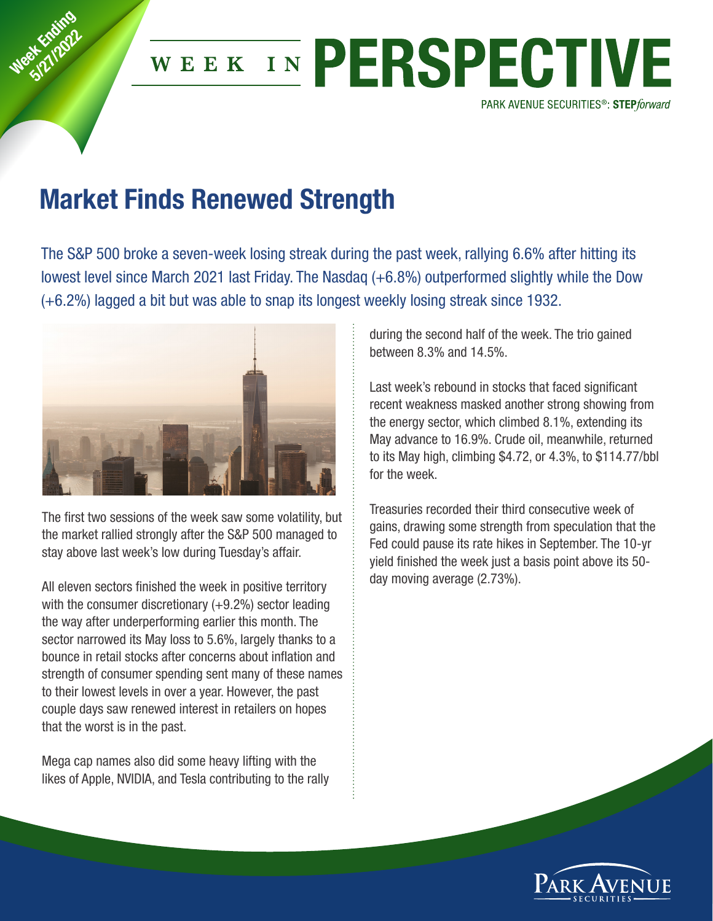

## WEEK IN PERSPECTIVE

PARK AVENUE SECURITIES<sup>®</sup>: STEPforward

## **Market Finds Renewed Strength**

The S&P 500 broke a seven-week losing streak during the past week, rallying 6.6% after hitting its lowest level since March 2021 last Friday. The Nasdaq (+6.8%) outperformed slightly while the Dow (+6.2%) lagged a bit but was able to snap its longest weekly losing streak since 1932.



The first two sessions of the week saw some volatility, but the market rallied strongly after the S&P 500 managed to stay above last week's low during Tuesday's affair.

All eleven sectors finished the week in positive territory with the consumer discretionary (+9.2%) sector leading the way after underperforming earlier this month. The sector narrowed its May loss to 5.6%, largely thanks to a bounce in retail stocks after concerns about inflation and strength of consumer spending sent many of these names to their lowest levels in over a year. However, the past couple days saw renewed interest in retailers on hopes that the worst is in the past.

Mega cap names also did some heavy lifting with the likes of Apple, NVIDIA, and Tesla contributing to the rally during the second half of the week. The trio gained between 8.3% and 14.5%.

Last week's rebound in stocks that faced significant recent weakness masked another strong showing from the energy sector, which climbed 8.1%, extending its May advance to 16.9%. Crude oil, meanwhile, returned to its May high, climbing \$4.72, or 4.3%, to \$114.77/bbl for the week.

Treasuries recorded their third consecutive week of gains, drawing some strength from speculation that the Fed could pause its rate hikes in September. The 10-yr yield finished the week just a basis point above its 50 day moving average (2.73%).